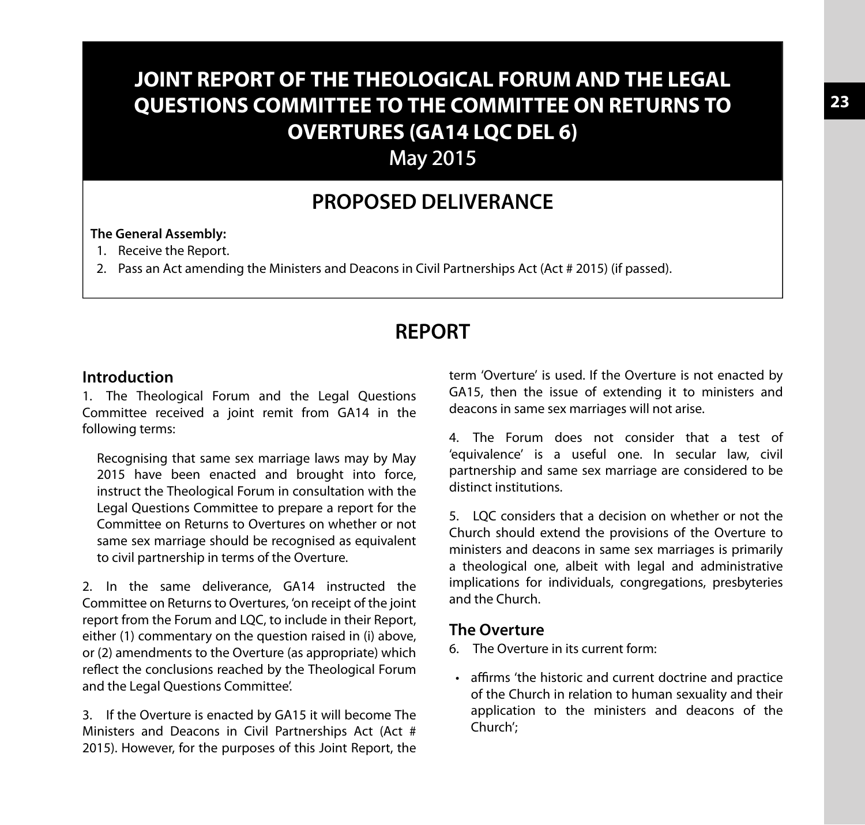# **JOINT REPORT OF THE THEOLOGICAL FORUM AND THE LEGAL QUESTIONS COMMITTEE TO THE COMMITTEE ON RETURNS TO OVERTURES (GA14 LQC DEL 6)**

May 2015

# **PROPOSED DELIVERANCE**

#### **The General Assembly:**

- 1. Receive the Report.
- 2. Pass an Act amending the Ministers and Deacons in Civil Partnerships Act (Act # 2015) (if passed).

# **REPORT**

#### **Introduction**

1. The Theological Forum and the Legal Questions Committee received a joint remit from GA14 in the following terms:

Recognising that same sex marriage laws may by May 2015 have been enacted and brought into force, instruct the Theological Forum in consultation with the Legal Questions Committee to prepare a report for the Committee on Returns to Overtures on whether or not same sex marriage should be recognised as equivalent to civil partnership in terms of the Overture.

2. In the same deliverance, GA14 instructed the Committee on Returns to Overtures, 'on receipt of the joint report from the Forum and LQC, to include in their Report, either (1) commentary on the question raised in (i) above, or (2) amendments to the Overture (as appropriate) which reflect the conclusions reached by the Theological Forum and the Legal Questions Committee'.

3. If the Overture is enacted by GA15 it will become The Ministers and Deacons in Civil Partnerships Act (Act # 2015). However, for the purposes of this Joint Report, the term 'Overture' is used. If the Overture is not enacted by GA15, then the issue of extending it to ministers and deacons in same sex marriages will not arise.

4. The Forum does not consider that a test of 'equivalence' is a useful one. In secular law, civil partnership and same sex marriage are considered to be distinct institutions.

5. LQC considers that a decision on whether or not the Church should extend the provisions of the Overture to ministers and deacons in same sex marriages is primarily a theological one, albeit with legal and administrative implications for individuals, congregations, presbyteries and the Church.

## **The Overture**

- 6. The Overture in its current form:
- affirms 'the historic and current doctrine and practice of the Church in relation to human sexuality and their application to the ministers and deacons of the Church';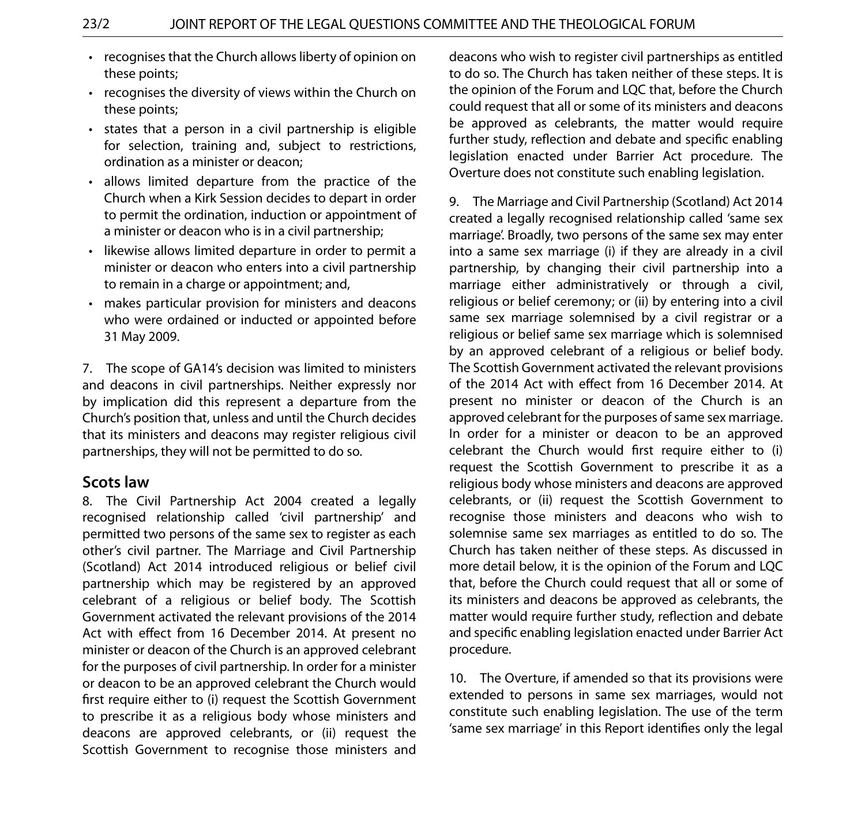- recognises that the Church allows liberty of opinion on these points;
- recognises the diversity of views within the Church on these points;
- states that a person in a civil partnership is eligible for selection, training and, subject to restrictions, ordination as a minister or deacon;
- allows limited departure from the practice of the Church when a Kirk Session decides to depart in order to permit the ordination, induction or appointment of a minister or deacon who is in a civil partnership;
- likewise allows limited departure in order to permit a minister or deacon who enters into a civil partnership to remain in a charge or appointment; and,
- makes particular provision for ministers and deacons who were ordained or inducted or appointed before 31 May 2009.

7. The scope of GA14's decision was limited to ministers and deacons in civil partnerships. Neither expressly nor by implication did this represent a departure from the Church's position that, unless and until the Church decides that its ministers and deacons may register religious civil partnerships, they will not be permitted to do so.

#### **Scots law**

8. The Civil Partnership Act 2004 created a legally recognised relationship called 'civil partnership' and permitted two persons of the same sex to register as each other's civil partner. The Marriage and Civil Partnership (Scotland) Act 2014 introduced religious or belief civil partnership which may be registered by an approved celebrant of a religious or belief body. The Scottish Government activated the relevant provisions of the 2014 Act with effect from 16 December 2014. At present no minister or deacon of the Church is an approved celebrant for the purposes of civil partnership. In order for a minister or deacon to be an approved celebrant the Church would first require either to (i) request the Scottish Government to prescribe it as a religious body whose ministers and deacons are approved celebrants, or (ii) request the Scottish Government to recognise those ministers and

deacons who wish to register civil partnerships as entitled to do so. The Church has taken neither of these steps. It is the opinion of the Forum and LQC that, before the Church could request that all or some of its ministers and deacons be approved as celebrants, the matter would require further study, reflection and debate and specific enabling legislation enacted under Barrier Act procedure. The Overture does not constitute such enabling legislation.

9. The Marriage and Civil Partnership (Scotland) Act 2014 created a legally recognised relationship called 'same sex marriage'. Broadly, two persons of the same sex may enter into a same sex marriage (i) if they are already in a civil partnership, by changing their civil partnership into a marriage either administratively or through a civil, religious or belief ceremony; or (ii) by entering into a civil same sex marriage solemnised by a civil registrar or a religious or belief same sex marriage which is solemnised by an approved celebrant of a religious or belief body. The Scottish Government activated the relevant provisions of the 2014 Act with effect from 16 December 2014. At present no minister or deacon of the Church is an approved celebrant for the purposes of same sex marriage. In order for a minister or deacon to be an approved celebrant the Church would first require either to (i) request the Scottish Government to prescribe it as a religious body whose ministers and deacons are approved celebrants, or (ii) request the Scottish Government to recognise those ministers and deacons who wish to solemnise same sex marriages as entitled to do so. The Church has taken neither of these steps. As discussed in more detail below, it is the opinion of the Forum and LQC that, before the Church could request that all or some of its ministers and deacons be approved as celebrants, the matter would require further study, reflection and debate and specific enabling legislation enacted under Barrier Act procedure.

10. The Overture, if amended so that its provisions were extended to persons in same sex marriages, would not constitute such enabling legislation. The use of the term 'same sex marriage' in this Report identifies only the legal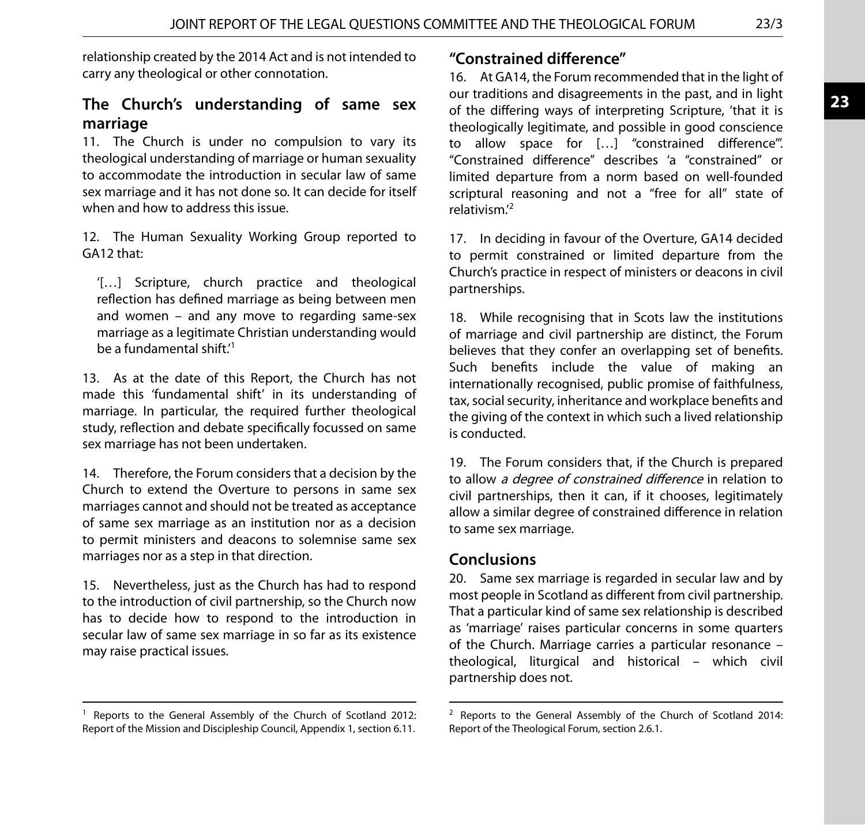relationship created by the 2014 Act and is not intended to carry any theological or other connotation.

## **The Church's understanding of same sex marriage**

11. The Church is under no compulsion to vary its theological understanding of marriage or human sexuality to accommodate the introduction in secular law of same sex marriage and it has not done so. It can decide for itself when and how to address this issue.

12. The Human Sexuality Working Group reported to GA12 that:

'[…] Scripture, church practice and theological reflection has defined marriage as being between men and women – and any move to regarding same-sex marriage as a legitimate Christian understanding would be a fundamental shift.'<sup>1</sup>

13. As at the date of this Report, the Church has not made this 'fundamental shift' in its understanding of marriage. In particular, the required further theological study, reflection and debate specifically focussed on same sex marriage has not been undertaken.

14. Therefore, the Forum considers that a decision by the Church to extend the Overture to persons in same sex marriages cannot and should not be treated as acceptance of same sex marriage as an institution nor as a decision to permit ministers and deacons to solemnise same sex marriages nor as a step in that direction.

15. Nevertheless, just as the Church has had to respond to the introduction of civil partnership, so the Church now has to decide how to respond to the introduction in secular law of same sex marriage in so far as its existence may raise practical issues.

16. At GA14, the Forum recommended that in the light of our traditions and disagreements in the past, and in light of the differing ways of interpreting Scripture, 'that it is theologically legitimate, and possible in good conscience to allow space for […] "constrained difference"'. "Constrained difference" describes 'a "constrained" or limited departure from a norm based on well-founded scriptural reasoning and not a "free for all" state of relativism.' 2

17. In deciding in favour of the Overture, GA14 decided to permit constrained or limited departure from the Church's practice in respect of ministers or deacons in civil partnerships.

18. While recognising that in Scots law the institutions of marriage and civil partnership are distinct, the Forum believes that they confer an overlapping set of benefits. Such benefits include the value of making an internationally recognised, public promise of faithfulness, tax, social security, inheritance and workplace benefits and the giving of the context in which such a lived relationship is conducted.

19. The Forum considers that, if the Church is prepared to allow <sup>a</sup> degree of constrained difference in relation to civil partnerships, then it can, if it chooses, legitimately allow a similar degree of constrained difference in relation to same sex marriage.

#### **Conclusions**

20. Same sex marriage is regarded in secular law and by most people in Scotland as different from civil partnership. That a particular kind of same sex relationship is described as 'marriage' raises particular concerns in some quarters of the Church. Marriage carries a particular resonance – theological, liturgical and historical – which civil partnership does not.

**<sup>&</sup>quot;Constrained difference"**

<sup>&</sup>lt;sup>1</sup> Reports to the General Assembly of the Church of Scotland 2012: Report of the Mission and Discipleship Council, Appendix 1, section 6.11.

<sup>&</sup>lt;sup>2</sup> Reports to the General Assembly of the Church of Scotland 2014: Report of the Theological Forum, section 2.6.1.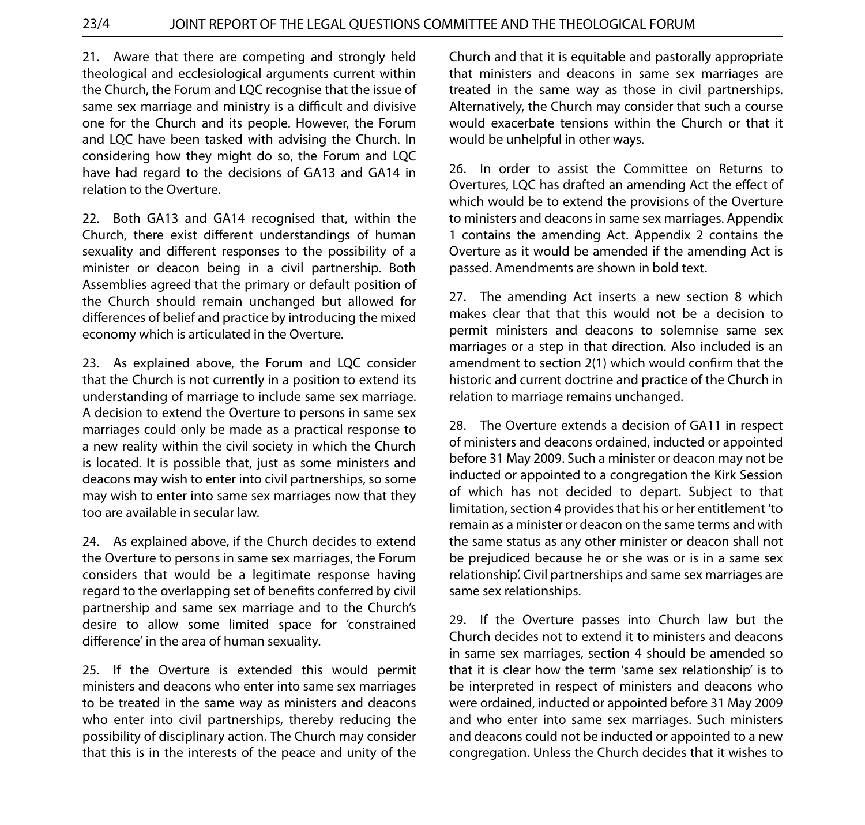21. Aware that there are competing and strongly held theological and ecclesiological arguments current within the Church, the Forum and LQC recognise that the issue of same sex marriage and ministry is a difficult and divisive one for the Church and its people. However, the Forum and LQC have been tasked with advising the Church. In considering how they might do so, the Forum and LQC have had regard to the decisions of GA13 and GA14 in relation to the Overture.

22. Both GA13 and GA14 recognised that, within the Church, there exist different understandings of human sexuality and different responses to the possibility of a minister or deacon being in a civil partnership. Both Assemblies agreed that the primary or default position of the Church should remain unchanged but allowed for differences of belief and practice by introducing the mixed economy which is articulated in the Overture.

23. As explained above, the Forum and LQC consider that the Church is not currently in a position to extend its understanding of marriage to include same sex marriage. A decision to extend the Overture to persons in same sex marriages could only be made as a practical response to a new reality within the civil society in which the Church is located. It is possible that, just as some ministers and deacons may wish to enter into civil partnerships, so some may wish to enter into same sex marriages now that they too are available in secular law.

24. As explained above, if the Church decides to extend the Overture to persons in same sex marriages, the Forum considers that would be a legitimate response having regard to the overlapping set of benefits conferred by civil partnership and same sex marriage and to the Church's desire to allow some limited space for 'constrained difference' in the area of human sexuality.

25. If the Overture is extended this would permit ministers and deacons who enter into same sex marriages to be treated in the same way as ministers and deacons who enter into civil partnerships, thereby reducing the possibility of disciplinary action. The Church may consider that this is in the interests of the peace and unity of the Church and that it is equitable and pastorally appropriate that ministers and deacons in same sex marriages are treated in the same way as those in civil partnerships. Alternatively, the Church may consider that such a course would exacerbate tensions within the Church or that it would be unhelpful in other ways.

26. In order to assist the Committee on Returns to Overtures, LQC has drafted an amending Act the effect of which would be to extend the provisions of the Overture to ministers and deacons in same sex marriages. Appendix 1 contains the amending Act. Appendix 2 contains the Overture as it would be amended if the amending Act is passed. Amendments are shown in bold text.

27. The amending Act inserts a new section 8 which makes clear that that this would not be a decision to permit ministers and deacons to solemnise same sex marriages or a step in that direction. Also included is an amendment to section 2(1) which would confirm that the historic and current doctrine and practice of the Church in relation to marriage remains unchanged.

28. The Overture extends a decision of GA11 in respect of ministers and deacons ordained, inducted or appointed before 31 May 2009. Such a minister or deacon may not be inducted or appointed to a congregation the Kirk Session of which has not decided to depart. Subject to that limitation, section 4 provides that his or her entitlement 'to remain as a minister or deacon on the same terms and with the same status as any other minister or deacon shall not be prejudiced because he or she was or is in a same sex relationship'. Civil partnerships and same sex marriages are same sex relationships.

29. If the Overture passes into Church law but the Church decides not to extend it to ministers and deacons in same sex marriages, section 4 should be amended so that it is clear how the term 'same sex relationship' is to be interpreted in respect of ministers and deacons who were ordained, inducted or appointed before 31 May 2009 and who enter into same sex marriages. Such ministers and deacons could not be inducted or appointed to a new congregation. Unless the Church decides that it wishes to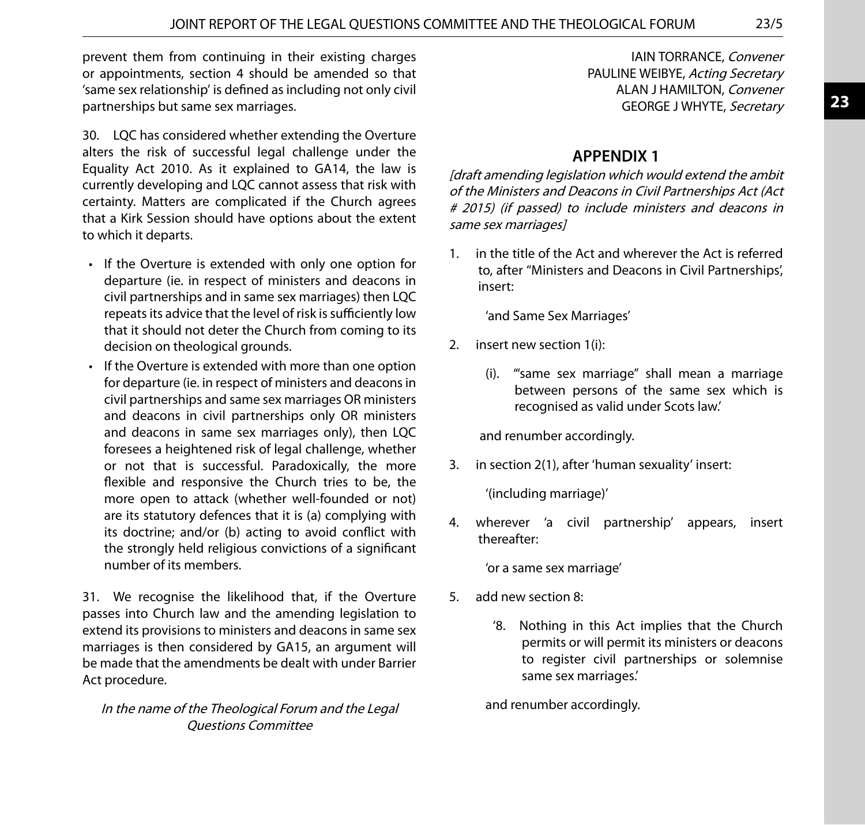prevent them from continuing in their existing charges or appointments, section 4 should be amended so that 'same sex relationship' is defined as including not only civil partnerships but same sex marriages.

30. LQC has considered whether extending the Overture alters the risk of successful legal challenge under the Equality Act 2010. As it explained to GA14, the law is currently developing and LQC cannot assess that risk with certainty. Matters are complicated if the Church agrees that a Kirk Session should have options about the extent to which it departs.

- If the Overture is extended with only one option for departure (ie. in respect of ministers and deacons in civil partnerships and in same sex marriages) then LQC repeats its advice that the level of risk is sufficiently low that it should not deter the Church from coming to its decision on theological grounds.
- If the Overture is extended with more than one option for departure (ie. in respect of ministers and deacons in civil partnerships and same sex marriages OR ministers and deacons in civil partnerships only OR ministers and deacons in same sex marriages only), then LQC foresees a heightened risk of legal challenge, whether or not that is successful. Paradoxically, the more flexible and responsive the Church tries to be, the more open to attack (whether well-founded or not) are its statutory defences that it is (a) complying with its doctrine; and/or (b) acting to avoid conflict with the strongly held religious convictions of a significant number of its members.

31. We recognise the likelihood that, if the Overture passes into Church law and the amending legislation to extend its provisions to ministers and deacons in same sex marriages is then considered by GA15, an argument will be made that the amendments be dealt with under Barrier Act procedure.

#### In the name of the Theological Forum and the Legal Questions Committee

IAIN TORRANCE, Convener PAULINE WEIBYE, Acting Secretary ALAN J HAMILTON, Convener GEORGE J WHYTE, Secretary

# **APPENDIX 1**

[draft amending legislation which would extend the ambit of the Ministers and Deacons in Civil Partnerships Act (Act # 2015) (if passed) to include ministers and deacons in same sex marriages]

1. in the title of the Act and wherever the Act is referred to, after ''Ministers and Deacons in Civil Partnerships', insert:

'and Same Sex Marriages'

- 2. insert new section 1(i):
	- (i). '"same sex marriage" shall mean a marriage between persons of the same sex which is recognised as valid under Scots law.'

and renumber accordingly.

3. in section 2(1), after 'human sexuality' insert:

'(including marriage)'

4. wherever 'a civil partnership' appears, insert thereafter:

'or a same sex marriage'

- 5. add new section 8:
	- '8. Nothing in this Act implies that the Church permits or will permit its ministers or deacons to register civil partnerships or solemnise same sex marriages.'

and renumber accordingly.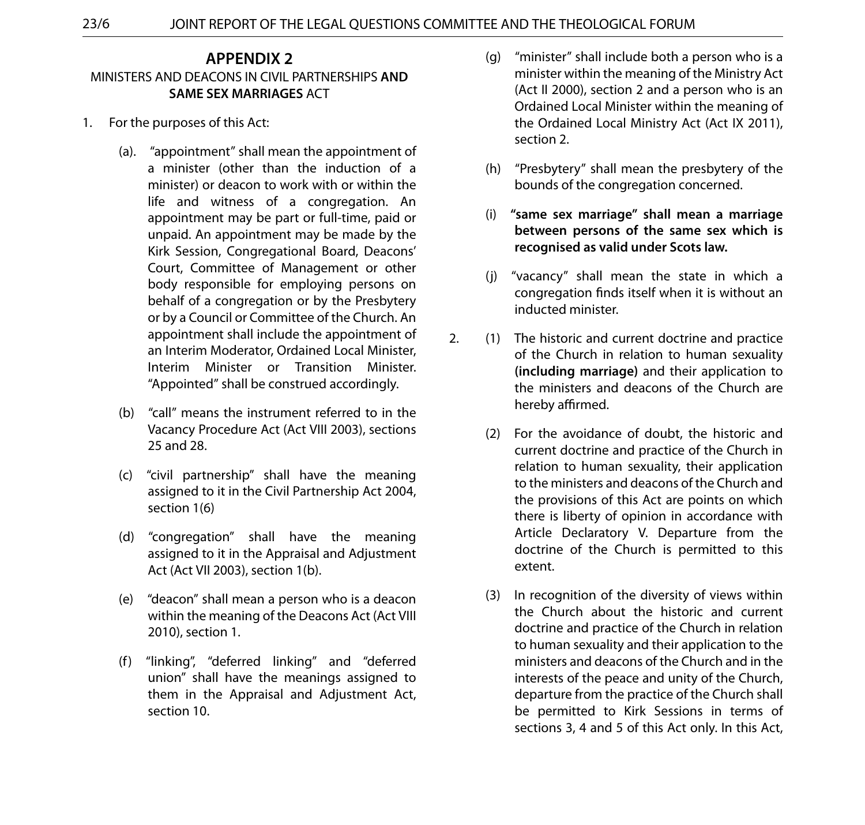### **APPENDIX 2** MINISTERS AND DEACONS IN CIVIL PARTNERSHIPS **AND SAME SEX MARRIAGES** ACT

- 1. For the purposes of this Act:
	- (a). "appointment" shall mean the appointment of a minister (other than the induction of a minister) or deacon to work with or within the life and witness of a congregation. An appointment may be part or full-time, paid or unpaid. An appointment may be made by the Kirk Session, Congregational Board, Deacons' Court, Committee of Management or other body responsible for employing persons on behalf of a congregation or by the Presbytery or by a Council or Committee of the Church. An appointment shall include the appointment of an Interim Moderator, Ordained Local Minister, Interim Minister or Transition Minister. "Appointed" shall be construed accordingly.
	- (b) "call" means the instrument referred to in the Vacancy Procedure Act (Act VIII 2003), sections 25 and 28.
	- (c) "civil partnership" shall have the meaning assigned to it in the Civil Partnership Act 2004, section 1(6)
	- (d) "congregation" shall have the meaning assigned to it in the Appraisal and Adjustment Act (Act VII 2003), section 1(b).
	- (e) "deacon" shall mean a person who is a deacon within the meaning of the Deacons Act (Act VIII 2010), section 1.
	- (f) "linking", "deferred linking" and "deferred union" shall have the meanings assigned to them in the Appraisal and Adjustment Act, section 10.
- (g) "minister" shall include both a person who is a minister within the meaning of the Ministry Act (Act II 2000), section 2 and a person who is an Ordained Local Minister within the meaning of the Ordained Local Ministry Act (Act IX 2011), section 2.
- (h) "Presbytery" shall mean the presbytery of the bounds of the congregation concerned.
- (i) **"same sex marriage" shall mean a marriage between persons of the same sex which is recognised as valid under Scots law.**
- (j) "vacancy" shall mean the state in which a congregation finds itself when it is without an inducted minister.
- 2. (1) The historic and current doctrine and practice of the Church in relation to human sexuality **(including marriage)** and their application to the ministers and deacons of the Church are hereby affirmed.
	- (2) For the avoidance of doubt, the historic and current doctrine and practice of the Church in relation to human sexuality, their application to the ministers and deacons of the Church and the provisions of this Act are points on which there is liberty of opinion in accordance with Article Declaratory V. Departure from the doctrine of the Church is permitted to this extent.
	- (3) In recognition of the diversity of views within the Church about the historic and current doctrine and practice of the Church in relation to human sexuality and their application to the ministers and deacons of the Church and in the interests of the peace and unity of the Church, departure from the practice of the Church shall be permitted to Kirk Sessions in terms of sections 3, 4 and 5 of this Act only. In this Act,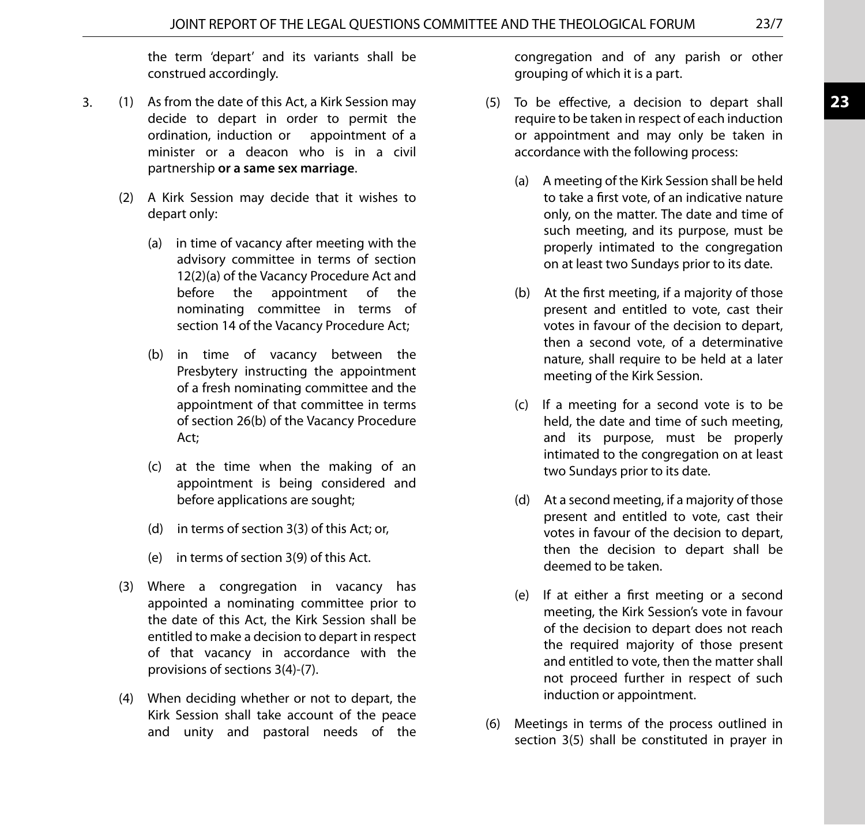the term 'depart' and its variants shall be construed accordingly.

- 3. (1) As from the date of this Act, a Kirk Session may decide to depart in order to permit the ordination, induction or appointment of a minister or a deacon who is in a civil partnership **or a same sex marriage**.
	- (2) A Kirk Session may decide that it wishes to depart only:
		- (a) in time of vacancy after meeting with the advisory committee in terms of section 12(2)(a) of the Vacancy Procedure Act and before the appointment of the nominating committee in terms of section 14 of the Vacancy Procedure Act;
		- (b) in time of vacancy between the Presbytery instructing the appointment of a fresh nominating committee and the appointment of that committee in terms of section 26(b) of the Vacancy Procedure Act;
		- (c) at the time when the making of an appointment is being considered and before applications are sought;
		- (d) in terms of section 3(3) of this Act; or,
		- (e) in terms of section 3(9) of this Act.
	- (3) Where a congregation in vacancy has appointed a nominating committee prior to the date of this Act, the Kirk Session shall be entitled to make a decision to depart in respect of that vacancy in accordance with the provisions of sections 3(4)-(7).
	- (4) When deciding whether or not to depart, the Kirk Session shall take account of the peace and unity and pastoral needs of the

congregation and of any parish or other grouping of which it is a part.

- (5) To be effective, a decision to depart shall require to be taken in respect of each induction or appointment and may only be taken in accordance with the following process:
	- (a) A meeting of the Kirk Session shall be held to take a first vote, of an indicative nature only, on the matter. The date and time of such meeting, and its purpose, must be properly intimated to the congregation on at least two Sundays prior to its date.
	- (b) At the first meeting, if a majority of those present and entitled to vote, cast their votes in favour of the decision to depart, then a second vote, of a determinative nature, shall require to be held at a later meeting of the Kirk Session.
	- (c) If a meeting for a second vote is to be held, the date and time of such meeting, and its purpose, must be properly intimated to the congregation on at least two Sundays prior to its date.
	- (d) At a second meeting, if a majority of those present and entitled to vote, cast their votes in favour of the decision to depart, then the decision to depart shall be deemed to be taken.
	- (e) If at either a first meeting or a second meeting, the Kirk Session's vote in favour of the decision to depart does not reach the required majority of those present and entitled to vote, then the matter shall not proceed further in respect of such induction or appointment.
- (6) Meetings in terms of the process outlined in section 3(5) shall be constituted in prayer in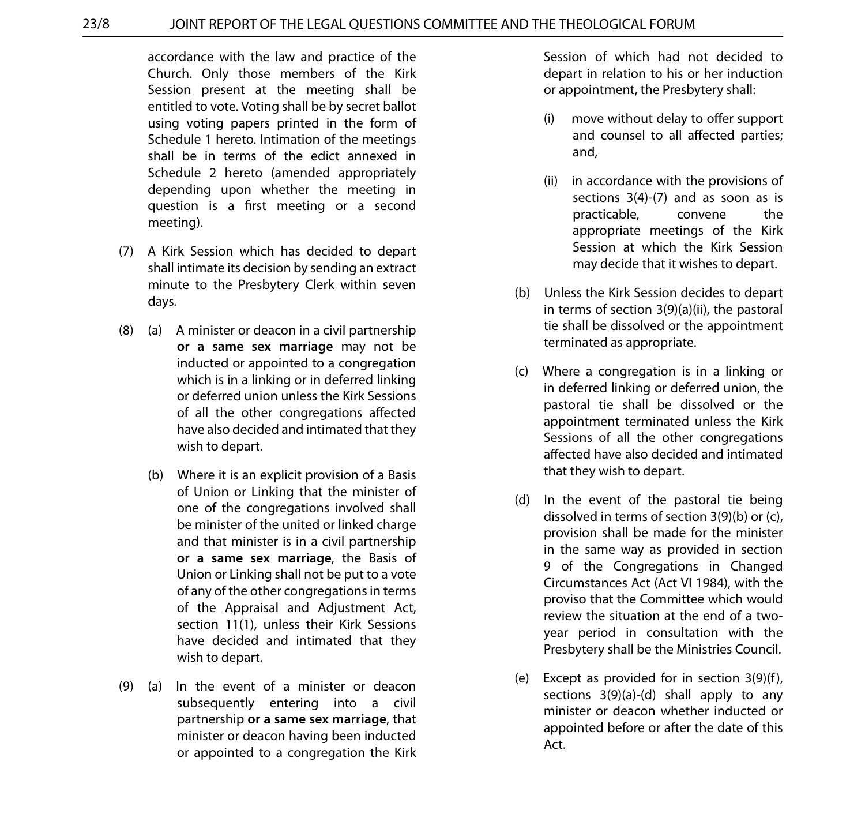#### 23/8 JOINT REPORT OF THE LEGAL QUESTIONS COMMITTEE AND THE THEOLOGICAL FORUM

accordance with the law and practice of the Church. Only those members of the Kirk Session present at the meeting shall be entitled to vote. Voting shall be by secret ballot using voting papers printed in the form of Schedule 1 hereto. Intimation of the meetings shall be in terms of the edict annexed in Schedule 2 hereto (amended appropriately depending upon whether the meeting in question is a first meeting or a second meeting).

- (7) A Kirk Session which has decided to depart shall intimate its decision by sending an extract minute to the Presbytery Clerk within seven days.
- (8) (a) A minister or deacon in a civil partnership **or a same sex marriage** may not be inducted or appointed to a congregation which is in a linking or in deferred linking or deferred union unless the Kirk Sessions of all the other congregations affected have also decided and intimated that they wish to depart.
	- (b) Where it is an explicit provision of a Basis of Union or Linking that the minister of one of the congregations involved shall be minister of the united or linked charge and that minister is in a civil partnership **or a same sex marriage**, the Basis of Union or Linking shall not be put to a vote of any of the other congregations in terms of the Appraisal and Adjustment Act, section 11(1), unless their Kirk Sessions have decided and intimated that they wish to depart.
- (9) (a) In the event of a minister or deacon subsequently entering into a civil partnership **or a same sex marriage**, that minister or deacon having been inducted or appointed to a congregation the Kirk

Session of which had not decided to depart in relation to his or her induction or appointment, the Presbytery shall:

- (i) move without delay to offer support and counsel to all affected parties; and,
- (ii) in accordance with the provisions of sections 3(4)-(7) and as soon as is practicable, convene the appropriate meetings of the Kirk Session at which the Kirk Session may decide that it wishes to depart.
- (b) Unless the Kirk Session decides to depart in terms of section 3(9)(a)(ii), the pastoral tie shall be dissolved or the appointment terminated as appropriate.
- (c) Where a congregation is in a linking or in deferred linking or deferred union, the pastoral tie shall be dissolved or the appointment terminated unless the Kirk Sessions of all the other congregations affected have also decided and intimated that they wish to depart.
- (d) In the event of the pastoral tie being dissolved in terms of section 3(9)(b) or (c), provision shall be made for the minister in the same way as provided in section 9 of the Congregations in Changed Circumstances Act (Act VI 1984), with the proviso that the Committee which would review the situation at the end of a twoyear period in consultation with the Presbytery shall be the Ministries Council.
- (e) Except as provided for in section 3(9)(f), sections 3(9)(a)-(d) shall apply to any minister or deacon whether inducted or appointed before or after the date of this Act.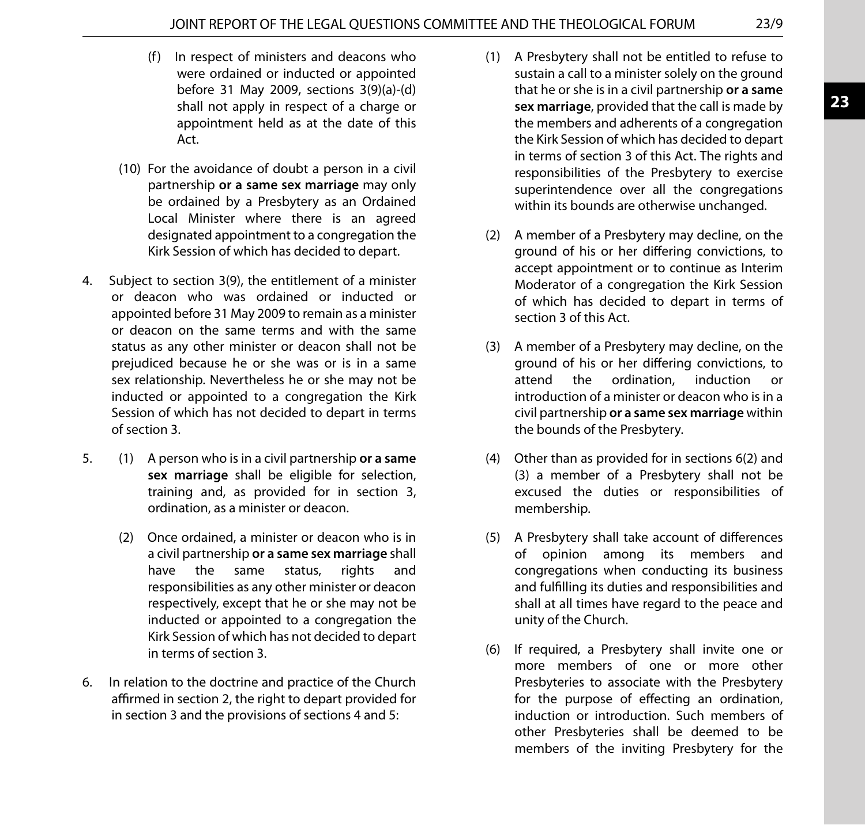- (f) In respect of ministers and deacons who were ordained or inducted or appointed before 31 May 2009, sections 3(9)(a)-(d) shall not apply in respect of a charge or appointment held as at the date of this Act.
- (10) For the avoidance of doubt a person in a civil partnership **or a same sex marriage** may only be ordained by a Presbytery as an Ordained Local Minister where there is an agreed designated appointment to a congregation the Kirk Session of which has decided to depart.
- 4. Subject to section 3(9), the entitlement of a minister or deacon who was ordained or inducted or appointed before 31 May 2009 to remain as a minister or deacon on the same terms and with the same status as any other minister or deacon shall not be prejudiced because he or she was or is in a same sex relationship. Nevertheless he or she may not be inducted or appointed to a congregation the Kirk Session of which has not decided to depart in terms of section 3.
- 5. (1) A person who is in a civil partnership **or a same sex marriage** shall be eligible for selection, training and, as provided for in section 3, ordination, as a minister or deacon.
	- (2) Once ordained, a minister or deacon who is in a civil partnership **or a same sex marriage** shall have the same status, rights and responsibilities as any other minister or deacon respectively, except that he or she may not be inducted or appointed to a congregation the Kirk Session of which has not decided to depart in terms of section 3.
- 6. In relation to the doctrine and practice of the Church affirmed in section 2, the right to depart provided for in section 3 and the provisions of sections 4 and 5:
- (1) A Presbytery shall not be entitled to refuse to sustain a call to a minister solely on the ground that he or she is in a civil partnership **or a same sex marriage**, provided that the call is made by the members and adherents of a congregation the Kirk Session of which has decided to depart in terms of section 3 of this Act. The rights and responsibilities of the Presbytery to exercise superintendence over all the congregations within its bounds are otherwise unchanged.
- (2) A member of a Presbytery may decline, on the ground of his or her differing convictions, to accept appointment or to continue as Interim Moderator of a congregation the Kirk Session of which has decided to depart in terms of section 3 of this Act.
- (3) A member of a Presbytery may decline, on the ground of his or her differing convictions, to attend the ordination, induction or introduction of a minister or deacon who is in a civil partnership **or a same sex marriage** within the bounds of the Presbytery.
- (4) Other than as provided for in sections 6(2) and (3) a member of a Presbytery shall not be excused the duties or responsibilities of membership.
- (5) A Presbytery shall take account of differences of opinion among its members and congregations when conducting its business and fulfilling its duties and responsibilities and shall at all times have regard to the peace and unity of the Church.
- (6) If required, a Presbytery shall invite one or more members of one or more other Presbyteries to associate with the Presbytery for the purpose of effecting an ordination, induction or introduction. Such members of other Presbyteries shall be deemed to be members of the inviting Presbytery for the